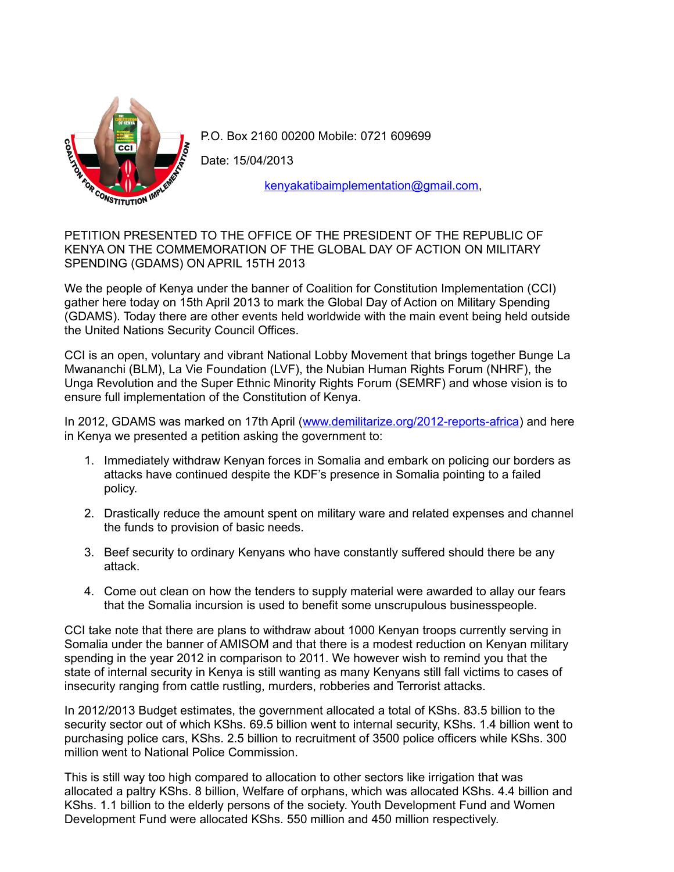

P.O. Box 2160 00200 Mobile: 0721 609699

Date: 15/04/2013

[kenyakatibaimplementation@gmail.com,](mailto:kenyakatibaimplementation@gmail.com)

PETITION PRESENTED TO THE OFFICE OF THE PRESIDENT OF THE REPUBLIC OF KENYA ON THE COMMEMORATION OF THE GLOBAL DAY OF ACTION ON MILITARY SPENDING (GDAMS) ON APRIL 15TH 2013

We the people of Kenya under the banner of Coalition for Constitution Implementation (CCI) gather here today on 15th April 2013 to mark the Global Day of Action on Military Spending (GDAMS). Today there are other events held worldwide with the main event being held outside the United Nations Security Council Offices.

CCI is an open, voluntary and vibrant National Lobby Movement that brings together Bunge La Mwananchi (BLM), La Vie Foundation (LVF), the Nubian Human Rights Forum (NHRF), the Unga Revolution and the Super Ethnic Minority Rights Forum (SEMRF) and whose vision is to ensure full implementation of the Constitution of Kenya.

In 2012, GDAMS was marked on 17th April [\(www.demilitarize.org/2012-reports-africa\)](http://www.demilitarize.org/2012-reports-africa) and here in Kenya we presented a petition asking the government to:

- 1. Immediately withdraw Kenyan forces in Somalia and embark on policing our borders as attacks have continued despite the KDF's presence in Somalia pointing to a failed policy.
- 2. Drastically reduce the amount spent on military ware and related expenses and channel the funds to provision of basic needs.
- 3. Beef security to ordinary Kenyans who have constantly suffered should there be any attack.
- 4. Come out clean on how the tenders to supply material were awarded to allay our fears that the Somalia incursion is used to benefit some unscrupulous businesspeople.

CCI take note that there are plans to withdraw about 1000 Kenyan troops currently serving in Somalia under the banner of AMISOM and that there is a modest reduction on Kenyan military spending in the year 2012 in comparison to 2011. We however wish to remind you that the state of internal security in Kenya is still wanting as many Kenyans still fall victims to cases of insecurity ranging from cattle rustling, murders, robberies and Terrorist attacks.

In 2012/2013 Budget estimates, the government allocated a total of KShs. 83.5 billion to the security sector out of which KShs. 69.5 billion went to internal security, KShs. 1.4 billion went to purchasing police cars, KShs. 2.5 billion to recruitment of 3500 police officers while KShs. 300 million went to National Police Commission.

This is still way too high compared to allocation to other sectors like irrigation that was allocated a paltry KShs. 8 billion, Welfare of orphans, which was allocated KShs. 4.4 billion and KShs. 1.1 billion to the elderly persons of the society. Youth Development Fund and Women Development Fund were allocated KShs. 550 million and 450 million respectively.